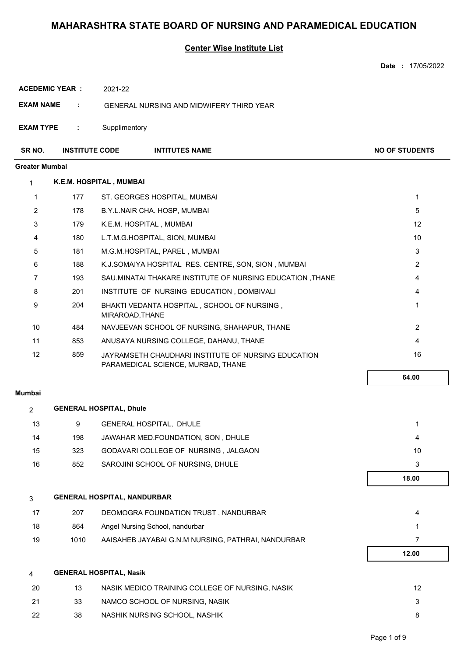|                       |                       |                                |                                                                                           | Date: 17/05/2022      |
|-----------------------|-----------------------|--------------------------------|-------------------------------------------------------------------------------------------|-----------------------|
| <b>ACEDEMIC YEAR:</b> |                       | 2021-22                        |                                                                                           |                       |
| <b>EXAM NAME</b>      | ÷                     |                                | GENERAL NURSING AND MIDWIFERY THIRD YEAR                                                  |                       |
| <b>EXAM TYPE</b>      | ÷                     | Supplimentory                  |                                                                                           |                       |
| SR NO.                | <b>INSTITUTE CODE</b> |                                | <b>INTITUTES NAME</b>                                                                     | <b>NO OF STUDENTS</b> |
| Greater Mumbai        |                       |                                |                                                                                           |                       |
| $\mathbf{1}$          |                       | K.E.M. HOSPITAL, MUMBAI        |                                                                                           |                       |
| $\mathbf{1}$          | 177                   |                                | ST. GEORGES HOSPITAL, MUMBAI                                                              | 1                     |
| 2                     | 178                   |                                | B.Y.L.NAIR CHA. HOSP, MUMBAI                                                              | 5                     |
| 3                     | 179                   |                                | K.E.M. HOSPITAL, MUMBAI                                                                   | 12                    |
| 4                     | 180                   |                                | L.T.M.G.HOSPITAL, SION, MUMBAI                                                            | 10                    |
| 5                     | 181                   |                                | M.G.M.HOSPITAL, PAREL, MUMBAI                                                             | 3                     |
| 6                     | 188                   |                                | K.J.SOMAIYA HOSPITAL RES. CENTRE, SON, SION, MUMBAI                                       | $\overline{2}$        |
| 7                     | 193                   |                                | SAU MINATAI THAKARE INSTITUTE OF NURSING EDUCATION, THANE                                 | 4                     |
| 8                     | 201                   |                                | INSTITUTE OF NURSING EDUCATION, DOMBIVALI                                                 | 4                     |
| 9                     | 204                   |                                | BHAKTI VEDANTA HOSPITAL, SCHOOL OF NURSING,<br>MIRAROAD, THANE                            | 1                     |
| 10                    | 484                   |                                | NAVJEEVAN SCHOOL OF NURSING, SHAHAPUR, THANE                                              | $\overline{2}$        |
| 11                    | 853                   |                                | ANUSAYA NURSING COLLEGE, DAHANU, THANE                                                    | 4                     |
| 12                    | 859                   |                                | JAYRAMSETH CHAUDHARI INSTITUTE OF NURSING EDUCATION<br>PARAMEDICAL SCIENCE, MURBAD, THANE | 16                    |
|                       |                       |                                |                                                                                           | 64.00                 |
| Mumbai                |                       |                                |                                                                                           |                       |
| $\overline{2}$        |                       | <b>GENERAL HOSPITAL, Dhule</b> |                                                                                           |                       |
| 13                    | 9                     |                                | GENERAL HOSPITAL, DHULE                                                                   | 1                     |
| 14                    | 198                   |                                | JAWAHAR MED.FOUNDATION, SON, DHULE                                                        | 4                     |
| 15                    | 323                   |                                | GODAVARI COLLEGE OF NURSING, JALGAON                                                      | 10                    |
| 16                    | 852                   |                                | SAROJINI SCHOOL OF NURSING, DHULE                                                         | 3                     |
|                       |                       |                                |                                                                                           | 18.00                 |
| 3                     |                       |                                | <b>GENERAL HOSPITAL, NANDURBAR</b>                                                        |                       |
| 17                    | 207                   |                                | DEOMOGRA FOUNDATION TRUST, NANDURBAR                                                      | 4                     |
| 18                    | 864                   |                                | Angel Nursing School, nandurbar                                                           | 1                     |
| 19                    | 1010                  |                                | AAISAHEB JAYABAI G.N.M NURSING, PATHRAI, NANDURBAR                                        | $\overline{7}$        |
|                       |                       |                                |                                                                                           | 12.00                 |
| 4                     |                       | <b>GENERAL HOSPITAL, Nasik</b> |                                                                                           |                       |
| 20                    | 13                    |                                | NASIK MEDICO TRAINING COLLEGE OF NURSING, NASIK                                           | 12                    |
| 21                    | 33                    |                                | NAMCO SCHOOL OF NURSING, NASIK                                                            | 3                     |
| 22                    | 38                    |                                | NASHIK NURSING SCHOOL, NASHIK                                                             | 8                     |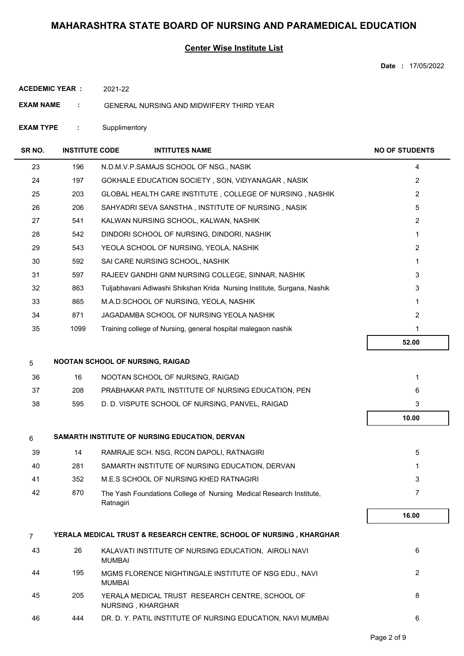### **Center Wise Institute List**

**Date :** 17/05/2022

**ACEDEMIC YEAR :** 2021-22

**EXAM NAME :** GENERAL NURSING AND MIDWIFERY THIRD YEAR

**EXAM TYPE :** Supplimentory

| SR NO.         | <b>INSTITUTE CODE</b> | <b>INTITUTES NAME</b>                                                            | <b>NO OF STUDENTS</b> |
|----------------|-----------------------|----------------------------------------------------------------------------------|-----------------------|
| 23             | 196                   | N.D.M.V.P.SAMAJS SCHOOL OF NSG., NASIK                                           | 4                     |
| 24             | 197                   | GOKHALE EDUCATION SOCIETY, SON, VIDYANAGAR, NASIK                                | $\overline{2}$        |
| 25             | 203                   | GLOBAL HEALTH CARE INSTITUTE, COLLEGE OF NURSING, NASHIK                         | $\overline{2}$        |
| 26             | 206                   | SAHYADRI SEVA SANSTHA, INSTITUTE OF NURSING, NASIK                               | 5                     |
| 27             | 541                   | KALWAN NURSING SCHOOL, KALWAN, NASHIK                                            | $\overline{2}$        |
| 28             | 542                   | DINDORI SCHOOL OF NURSING, DINDORI, NASHIK                                       | $\mathbf{1}$          |
| 29             | 543                   | YEOLA SCHOOL OF NURSING, YEOLA, NASHIK                                           | $\overline{2}$        |
| 30             | 592                   | SAI CARE NURSING SCHOOL, NASHIK                                                  | $\mathbf{1}$          |
| 31             | 597                   | RAJEEV GANDHI GNM NURSING COLLEGE, SINNAR, NASHIK                                | 3                     |
| 32             | 863                   | Tuljabhavani Adiwashi Shikshan Krida Nursing Institute, Surgana, Nashik          | 3                     |
| 33             | 865                   | M.A.D.SCHOOL OF NURSING, YEOLA, NASHIK                                           | 1                     |
| 34             | 871                   | JAGADAMBA SCHOOL OF NURSING YEOLA NASHIK                                         | $\overline{2}$        |
| 35             | 1099                  | Training college of Nursing, general hospital malegaon nashik                    | $\mathbf{1}$          |
|                |                       |                                                                                  | 52.00                 |
| 5              |                       | NOOTAN SCHOOL OF NURSING, RAIGAD                                                 |                       |
| 36             | 16                    | NOOTAN SCHOOL OF NURSING, RAIGAD                                                 | 1                     |
| 37             | 208                   | PRABHAKAR PATIL INSTITUTE OF NURSING EDUCATION, PEN                              | 6                     |
| 38             | 595                   | D. D. VISPUTE SCHOOL OF NURSING, PANVEL, RAIGAD                                  | 3                     |
|                |                       |                                                                                  | 10.00                 |
| 6              |                       | SAMARTH INSTITUTE OF NURSING EDUCATION, DERVAN                                   |                       |
| 39             | 14                    | RAMRAJE SCH. NSG, RCON DAPOLI, RATNAGIRI                                         | 5                     |
| 40             | 281                   | SAMARTH INSTITUTE OF NURSING EDUCATION, DERVAN                                   | 1                     |
| 41             | 352                   | M.E.S SCHOOL OF NURSING KHED RATNAGIRI                                           | 3                     |
| 42             | 870                   | The Yash Foundations College of Nursing Medical Research Institute,<br>Ratnagiri | 7                     |
|                |                       |                                                                                  | 16.00                 |
| $\overline{7}$ |                       | YERALA MEDICAL TRUST & RESEARCH CENTRE, SCHOOL OF NURSING , KHARGHAR             |                       |
| 43             | 26                    | KALAVATI INSTITUTE OF NURSING EDUCATION, AIROLI NAVI<br><b>MUMBAI</b>            | 6                     |
| 44             | 195                   | MGMS FLORENCE NIGHTINGALE INSTITUTE OF NSG EDU., NAVI<br><b>MUMBAI</b>           | $\overline{2}$        |
| 45             | 205                   | YERALA MEDICAL TRUST RESEARCH CENTRE, SCHOOL OF<br>NURSING, KHARGHAR             | 8                     |
| 46             | 444                   | DR. D. Y. PATIL INSTITUTE OF NURSING EDUCATION, NAVI MUMBAI                      | 6                     |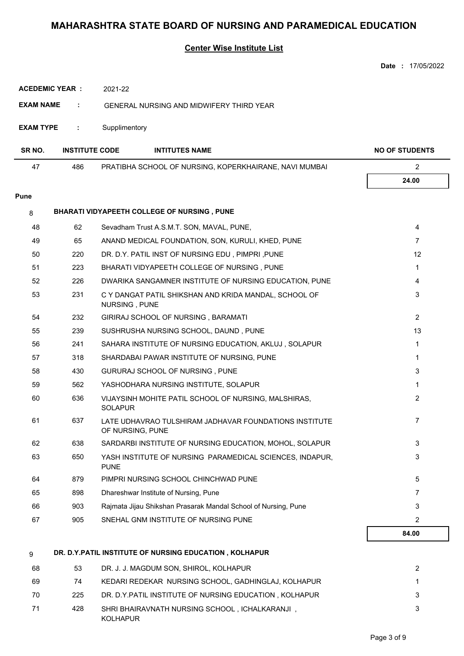|                       |                       |                  |                                                                | Date: 17/05/2022      |
|-----------------------|-----------------------|------------------|----------------------------------------------------------------|-----------------------|
| <b>ACEDEMIC YEAR:</b> |                       | 2021-22          |                                                                |                       |
| <b>EXAM NAME</b><br>÷ |                       |                  | <b>GENERAL NURSING AND MIDWIFERY THIRD YEAR</b>                |                       |
|                       |                       |                  |                                                                |                       |
| <b>EXAM TYPE</b>      | ÷                     | Supplimentory    |                                                                |                       |
| SR NO.                | <b>INSTITUTE CODE</b> |                  | <b>INTITUTES NAME</b>                                          | <b>NO OF STUDENTS</b> |
| 47                    | 486                   |                  | PRATIBHA SCHOOL OF NURSING, KOPERKHAIRANE, NAVI MUMBAI         | $\overline{2}$        |
|                       |                       |                  |                                                                | 24.00                 |
| <b>Pune</b>           |                       |                  |                                                                |                       |
| 8                     |                       |                  | BHARATI VIDYAPEETH COLLEGE OF NURSING, PUNE                    |                       |
| 48                    | 62                    |                  | Sevadham Trust A.S.M.T. SON, MAVAL, PUNE,                      | $\overline{4}$        |
| 49                    | 65                    |                  | ANAND MEDICAL FOUNDATION, SON, KURULI, KHED, PUNE              | $\overline{7}$        |
| 50                    | 220                   |                  | DR. D.Y. PATIL INST OF NURSING EDU, PIMPRI, PUNE               | 12                    |
| 51                    | 223                   |                  | BHARATI VIDYAPEETH COLLEGE OF NURSING, PUNE                    | 1                     |
| 52                    | 226                   |                  | DWARIKA SANGAMNER INSTITUTE OF NURSING EDUCATION, PUNE         | 4                     |
| 53                    | 231                   | NURSING, PUNE    | C Y DANGAT PATIL SHIKSHAN AND KRIDA MANDAL, SCHOOL OF          | 3                     |
| 54                    | 232                   |                  | GIRIRAJ SCHOOL OF NURSING, BARAMATI                            | $\overline{2}$        |
| 55                    | 239                   |                  | SUSHRUSHA NURSING SCHOOL, DAUND, PUNE                          | 13                    |
| 56                    | 241                   |                  | SAHARA INSTITUTE OF NURSING EDUCATION, AKLUJ, SOLAPUR          | 1                     |
| 57                    | 318                   |                  | SHARDABAI PAWAR INSTITUTE OF NURSING, PUNE                     | 1                     |
| 58                    | 430                   |                  | GURURAJ SCHOOL OF NURSING, PUNE                                | 3                     |
| 59                    | 562                   |                  | YASHODHARA NURSING INSTITUTE, SOLAPUR                          | 1                     |
| 60                    | 636                   | SOLAPUR          | VIJAYSINH MOHITE PATIL SCHOOL OF NURSING, MALSHIRAS,           | 2                     |
| 61                    | 637                   | OF NURSING, PUNE | LATE UDHAVRAO TULSHIRAM JADHAVAR FOUNDATIONS INSTITUTE         | 7                     |
| 62                    | 638                   |                  | SARDARBI INSTITUTE OF NURSING EDUCATION, MOHOL, SOLAPUR        | 3                     |
| 63                    | 650                   | <b>PUNE</b>      | YASH INSTITUTE OF NURSING PARAMEDICAL SCIENCES, INDAPUR,       | 3                     |
| 64                    | 879                   |                  | PIMPRI NURSING SCHOOL CHINCHWAD PUNE                           | 5                     |
| 65                    | 898                   |                  | Dhareshwar Institute of Nursing, Pune                          | $\overline{7}$        |
| 66                    | 903                   |                  | Rajmata Jijau Shikshan Prasarak Mandal School of Nursing, Pune | 3                     |
| 67                    | 905                   |                  | SNEHAL GNM INSTITUTE OF NURSING PUNE                           | 2                     |
|                       |                       |                  |                                                                | 84.00                 |
| 9                     |                       |                  | DR. D.Y.PATIL INSTITUTE OF NURSING EDUCATION, KOLHAPUR         |                       |
| 68                    | 53                    |                  | DR. J. J. MAGDUM SON, SHIROL, KOLHAPUR                         | 2                     |
| 69                    | 74                    |                  | KEDARI REDEKAR NURSING SCHOOL, GADHINGLAJ, KOLHAPUR            | 1                     |
| 70                    | 225                   |                  | DR. D.Y. PATIL INSTITUTE OF NURSING EDUCATION, KOLHAPUR        | 3                     |
| 71                    | 428                   | <b>KOLHAPUR</b>  | SHRI BHAIRAVNATH NURSING SCHOOL, ICHALKARANJI,                 | 3                     |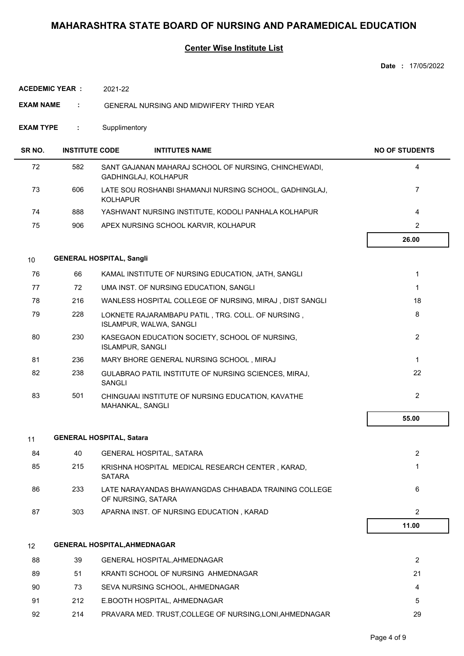|                    |                       |                                                                              | <b>Date: 17/05/2022</b> |
|--------------------|-----------------------|------------------------------------------------------------------------------|-------------------------|
| ACEDEMIC YEAR :    |                       | 2021-22                                                                      |                         |
| <b>EXAM NAME</b>   | ÷                     | <b>GENERAL NURSING AND MIDWIFERY THIRD YEAR</b>                              |                         |
| <b>EXAM TYPE</b>   | ÷                     | Supplimentory                                                                |                         |
| SR <sub>NO</sub> . | <b>INSTITUTE CODE</b> | <b>INTITUTES NAME</b>                                                        | <b>NO OF STUDENTS</b>   |
| 72                 | 582                   | SANT GAJANAN MAHARAJ SCHOOL OF NURSING, CHINCHEWADI,<br>GADHINGLAJ, KOLHAPUR | 4                       |
| 73                 | 606                   | LATE SOU ROSHANBI SHAMANJI NURSING SCHOOL, GADHINGLAJ,<br><b>KOLHAPUR</b>    | $\overline{7}$          |
| 74                 | 888                   | YASHWANT NURSING INSTITUTE, KODOLI PANHALA KOLHAPUR                          | $\overline{4}$          |
| 75                 | 906                   | APEX NURSING SCHOOL KARVIR, KOLHAPUR                                         | $\overline{2}$          |
|                    |                       |                                                                              | 26.00                   |
| 10                 |                       | <b>GENERAL HOSPITAL, Sangli</b>                                              |                         |
| 76                 | 66                    | KAMAL INSTITUTE OF NURSING EDUCATION, JATH, SANGLI                           | 1                       |
| 77                 | 72                    | UMA INST. OF NURSING EDUCATION, SANGLI                                       | $\mathbf 1$             |
| 78                 | 216                   | WANLESS HOSPITAL COLLEGE OF NURSING, MIRAJ, DIST SANGLI                      | 18                      |
| 79                 | 228                   | LOKNETE RAJARAMBAPU PATIL, TRG. COLL. OF NURSING,<br>ISLAMPUR, WALWA, SANGLI | 8                       |
| 80                 | 230                   | KASEGAON EDUCATION SOCIETY, SCHOOL OF NURSING,<br><b>ISLAMPUR, SANGLI</b>    | $\overline{2}$          |
| 81                 | 236                   | MARY BHORE GENERAL NURSING SCHOOL, MIRAJ                                     | $\mathbf{1}$            |
| 82                 | 238                   | GULABRAO PATIL INSTITUTE OF NURSING SCIENCES, MIRAJ,<br><b>SANGLI</b>        | 22                      |
| 83                 | 501                   | CHINGUAAI INSTITUTE OF NURSING EDUCATION, KAVATHE<br>MAHANKAL, SANGLI        | $\overline{c}$          |
|                    |                       |                                                                              | 55.00                   |
| 11                 |                       | <b>GENERAL HOSPITAL, Satara</b>                                              |                         |
| 84                 | 40                    | <b>GENERAL HOSPITAL, SATARA</b>                                              | $\overline{2}$          |
| 85                 | 215                   | KRISHNA HOSPITAL MEDICAL RESEARCH CENTER, KARAD,<br><b>SATARA</b>            | 1                       |
| 86                 | 233                   | LATE NARAYANDAS BHAWANGDAS CHHABADA TRAINING COLLEGE<br>OF NURSING, SATARA   | 6                       |
| 87                 | 303                   | APARNA INST. OF NURSING EDUCATION, KARAD                                     | 2                       |
|                    |                       |                                                                              | 11.00                   |
| 12                 |                       | <b>GENERAL HOSPITAL, AHMEDNAGAR</b>                                          |                         |
| 88                 | 39                    | GENERAL HOSPITAL, AHMEDNAGAR                                                 | 2                       |
| 89                 | 51                    | KRANTI SCHOOL OF NURSING AHMEDNAGAR                                          | 21                      |
| 90                 | 73                    | SEVA NURSING SCHOOL, AHMEDNAGAR                                              | 4                       |
| 91                 | 212                   | E.BOOTH HOSPITAL, AHMEDNAGAR                                                 | 5                       |
| 92                 | 214                   | PRAVARA MED. TRUST, COLLEGE OF NURSING, LONI, AHMEDNAGAR                     | 29                      |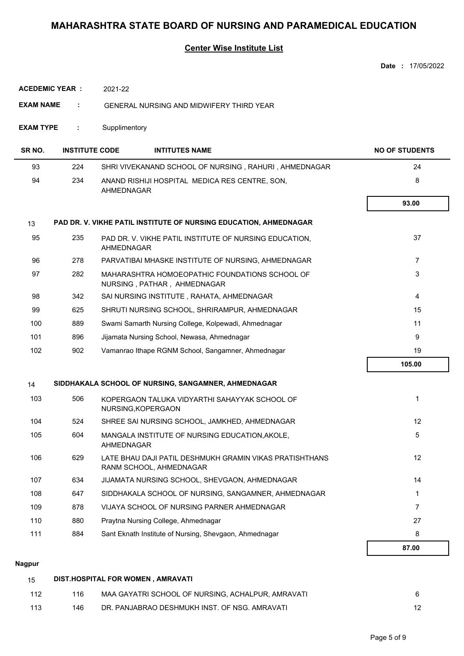### **Center Wise Institute List**

|                        |                       |                                                                                    | Date: 17/05/2022      |
|------------------------|-----------------------|------------------------------------------------------------------------------------|-----------------------|
| <b>ACEDEMIC YEAR :</b> |                       | 2021-22                                                                            |                       |
| <b>EXAM NAME</b>       |                       | <b>GENERAL NURSING AND MIDWIFERY THIRD YEAR</b>                                    |                       |
| <b>EXAM TYPE</b>       | ÷                     | Supplimentory                                                                      |                       |
| SR <sub>NO.</sub>      | <b>INSTITUTE CODE</b> | <b>INTITUTES NAME</b>                                                              | <b>NO OF STUDENTS</b> |
| 93                     | 224                   | SHRI VIVEKANAND SCHOOL OF NURSING, RAHURI, AHMEDNAGAR                              | 24                    |
| 94                     | 234                   | ANAND RISHIJI HOSPITAL MEDICA RES CENTRE, SON,<br>AHMEDNAGAR                       | 8                     |
|                        |                       |                                                                                    | 93.00                 |
| 13                     |                       | PAD DR. V. VIKHE PATIL INSTITUTE OF NURSING EDUCATION, AHMEDNAGAR                  |                       |
| 95                     | 235                   | PAD DR. V. VIKHE PATIL INSTITUTE OF NURSING EDUCATION,<br>AHMEDNAGAR               | 37                    |
| 96                     | 278                   | PARVATIBAI MHASKE INSTITUTE OF NURSING, AHMEDNAGAR                                 | $\overline{7}$        |
| 97                     | 282                   | MAHARASHTRA HOMOEOPATHIC FOUNDATIONS SCHOOL OF<br>NURSING, PATHAR, AHMEDNAGAR      | 3                     |
| 98                     | 342                   | SAI NURSING INSTITUTE, RAHATA, AHMEDNAGAR                                          | $\overline{4}$        |
| 99                     | 625                   | SHRUTI NURSING SCHOOL, SHRIRAMPUR, AHMEDNAGAR                                      | 15                    |
| 100                    | 889                   | Swami Samarth Nursing College, Kolpewadi, Ahmednagar                               | 11                    |
| 101                    | 896                   | Jijamata Nursing School, Newasa, Ahmednagar                                        | 9                     |
| 102                    | 902                   | Vamanrao Ithape RGNM School, Sangamner, Ahmednagar                                 | 19                    |
|                        |                       |                                                                                    | 105.00                |
| 14                     |                       | SIDDHAKALA SCHOOL OF NURSING, SANGAMNER, AHMEDNAGAR                                |                       |
| 103                    | 506                   | KOPERGAON TALUKA VIDYARTHI SAHAYYAK SCHOOL OF<br>NURSING.KOPERGAON                 | 1                     |
| 104                    | 524                   | SHREE SAI NURSING SCHOOL, JAMKHED, AHMEDNAGAR                                      | 12                    |
| 105                    | 604                   | MANGALA INSTITUTE OF NURSING EDUCATION, AKOLE,<br>AHMEDNAGAR                       | $\overline{5}$        |
| 106                    | 629                   | LATE BHAU DAJI PATIL DESHMUKH GRAMIN VIKAS PRATISHTHANS<br>RANM SCHOOL, AHMEDNAGAR | 12                    |
| 107                    | 634                   | JIJAMATA NURSING SCHOOL, SHEVGAON, AHMEDNAGAR                                      | 14                    |
| 108                    | 647                   | SIDDHAKALA SCHOOL OF NURSING, SANGAMNER, AHMEDNAGAR                                | $\mathbf{1}$          |
| 109                    | 878                   | VIJAYA SCHOOL OF NURSING PARNER AHMEDNAGAR                                         | $\overline{7}$        |
| 110                    | 880                   | Praytna Nursing College, Ahmednagar                                                | 27                    |
| 111                    | 884                   | Sant Eknath Institute of Nursing, Shevgaon, Ahmednagar                             | 8                     |
|                        |                       |                                                                                    | 87.00                 |

#### **Nagpur**

| -15 | DIST.HOSPITAL FOR WOMEN, AMRAVATI |                                                   |    |  |
|-----|-----------------------------------|---------------------------------------------------|----|--|
| 112 | 116                               | MAA GAYATRI SCHOOL OF NURSING. ACHALPUR. AMRAVATI |    |  |
| 113 | 146                               | DR. PANJABRAO DESHMUKH INST. OF NSG. AMRAVATI     | 12 |  |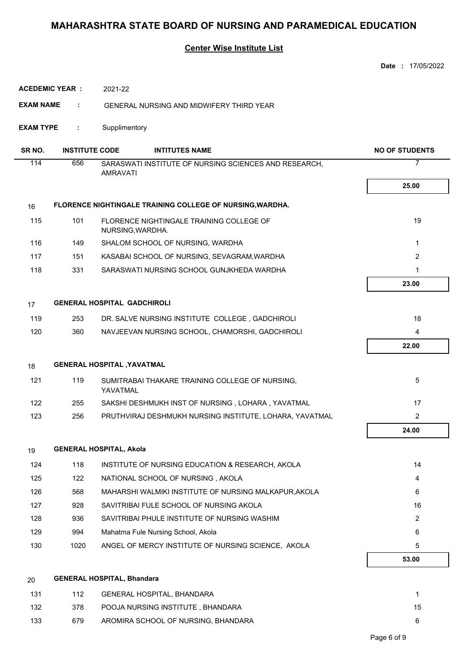|                       |                       |                                                                          | <b>Date: 17/05/2022</b>                                                   |
|-----------------------|-----------------------|--------------------------------------------------------------------------|---------------------------------------------------------------------------|
| <b>ACEDEMIC YEAR:</b> |                       | 2021-22                                                                  |                                                                           |
| <b>EXAM NAME</b>      | ÷                     | <b>GENERAL NURSING AND MIDWIFERY THIRD YEAR</b>                          |                                                                           |
| <b>EXAM TYPE</b>      | ÷.                    | Supplimentory                                                            |                                                                           |
| SR NO.                | <b>INSTITUTE CODE</b> | <b>INTITUTES NAME</b>                                                    | <b>NO OF STUDENTS</b>                                                     |
| 114                   | 656                   | SARASWATI INSTITUTE OF NURSING SCIENCES AND RESEARCH,<br><b>AMRAVATI</b> | 7                                                                         |
|                       |                       |                                                                          | 25.00                                                                     |
|                       |                       |                                                                          |                                                                           |
| 16                    |                       | FLORENCE NIGHTINGALE TRAINING COLLEGE OF NURSING, WARDHA.                |                                                                           |
| 115                   | 101                   | FLORENCE NIGHTINGALE TRAINING COLLEGE OF<br>NURSING, WARDHA.             | 19                                                                        |
| 116                   | 149                   | SHALOM SCHOOL OF NURSING, WARDHA                                         | 1                                                                         |
| 117                   | 151                   | KASABAI SCHOOL OF NURSING, SEVAGRAM, WARDHA                              | 2                                                                         |
| 118                   | 331                   | SARASWATI NURSING SCHOOL GUNJKHEDA WARDHA                                | 1                                                                         |
|                       |                       |                                                                          | 23.00                                                                     |
| 17                    |                       | <b>GENERAL HOSPITAL GADCHIROLI</b>                                       |                                                                           |
| 119                   | 253                   | DR. SALVE NURSING INSTITUTE COLLEGE, GADCHIROLI                          | 18                                                                        |
| 120                   | 360                   | NAVJEEVAN NURSING SCHOOL, CHAMORSHI, GADCHIROLI                          | 4                                                                         |
|                       |                       |                                                                          | 22.00                                                                     |
| 18                    |                       | <b>GENERAL HOSPITAL , YAVATMAL</b>                                       |                                                                           |
| 121                   | 119                   | SUMITRABAI THAKARE TRAINING COLLEGE OF NURSING.<br>YAVATMAL              | 5                                                                         |
| 122                   | 255                   | SAKSHI DESHMUKH INST OF NURSING, LOHARA, YAVATMAL                        | 17                                                                        |
| 123                   | 256                   |                                                                          | PRUTHVIRAJ DESHMUKH NURSING INSTITUTE, LOHARA, YAVATMAL<br>$\overline{2}$ |
|                       |                       |                                                                          | 24.00                                                                     |
| 19                    |                       | <b>GENERAL HOSPITAL, Akola</b>                                           |                                                                           |
| 124                   | 118                   | INSTITUTE OF NURSING EDUCATION & RESEARCH, AKOLA                         | 14                                                                        |
| 125                   | 122                   | NATIONAL SCHOOL OF NURSING, AKOLA                                        | 4                                                                         |
| 126                   | 568                   | MAHARSHI WALMIKI INSTITUTE OF NURSING MALKAPUR, AKOLA                    | 6                                                                         |
| 127                   | 928                   | SAVITRIBAI FULE SCHOOL OF NURSING AKOLA                                  | 16                                                                        |
| 128                   | 936                   | SAVITRIBAI PHULE INSTITUTE OF NURSING WASHIM                             | $\overline{2}$                                                            |
| 129                   | 994                   | Mahatma Fule Nursing School, Akola                                       | 6                                                                         |
| 130                   | 1020                  | ANGEL OF MERCY INSTITUTE OF NURSING SCIENCE, AKOLA                       | 5                                                                         |
|                       |                       |                                                                          | 53.00                                                                     |
| 20                    |                       | <b>GENERAL HOSPITAL, Bhandara</b>                                        |                                                                           |
| 131                   | 112                   | GENERAL HOSPITAL, BHANDARA                                               | 1                                                                         |
| 132                   | 378                   | POOJA NURSING INSTITUTE, BHANDARA                                        | 15                                                                        |
| 133                   | 679                   | AROMIRA SCHOOL OF NURSING, BHANDARA                                      | 6                                                                         |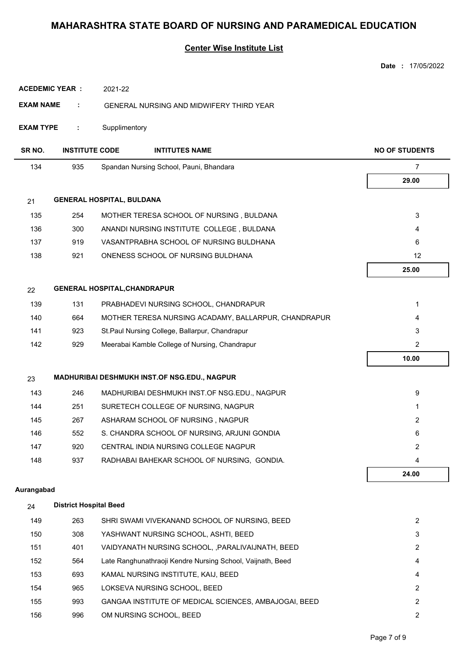|                    |                               |                                                      | Date: 17/05/2022      |
|--------------------|-------------------------------|------------------------------------------------------|-----------------------|
|                    | <b>ACEDEMIC YEAR:</b>         | 2021-22                                              |                       |
| <b>EXAM NAME</b>   | ÷                             | <b>GENERAL NURSING AND MIDWIFERY THIRD YEAR</b>      |                       |
| <b>EXAM TYPE</b>   | ÷                             | Supplimentory                                        |                       |
| SR <sub>NO</sub> . | <b>INSTITUTE CODE</b>         | <b>INTITUTES NAME</b>                                | <b>NO OF STUDENTS</b> |
| 134                | 935                           | Spandan Nursing School, Pauni, Bhandara              | $\overline{7}$        |
|                    |                               |                                                      | 29.00                 |
| 21                 |                               | <b>GENERAL HOSPITAL, BULDANA</b>                     |                       |
| 135                | 254                           | MOTHER TERESA SCHOOL OF NURSING, BULDANA             | 3                     |
| 136                | 300                           | ANANDI NURSING INSTITUTE COLLEGE, BULDANA            | 4                     |
| 137                | 919                           | VASANTPRABHA SCHOOL OF NURSING BULDHANA              | 6                     |
| 138                | 921                           | ONENESS SCHOOL OF NURSING BULDHANA                   | 12                    |
|                    |                               |                                                      | 25.00                 |
| 22                 |                               | <b>GENERAL HOSPITAL, CHANDRAPUR</b>                  |                       |
| 139                | 131                           | PRABHADEVI NURSING SCHOOL, CHANDRAPUR                | 1                     |
| 140                | 664                           | MOTHER TERESA NURSING ACADAMY, BALLARPUR, CHANDRAPUR | 4                     |
| 141                | 923                           | St.Paul Nursing College, Ballarpur, Chandrapur       | 3                     |
| 142                | 929                           | Meerabai Kamble College of Nursing, Chandrapur       | $\overline{2}$        |
|                    |                               |                                                      | 10.00                 |
| 23                 |                               | MADHURIBAI DESHMUKH INST.OF NSG.EDU., NAGPUR         |                       |
| 143                | 246                           | MADHURIBAI DESHMUKH INST.OF NSG.EDU., NAGPUR         | 9                     |
| 144                | 251                           | SURETECH COLLEGE OF NURSING, NAGPUR                  | 1                     |
| 145                | 267                           | ASHARAM SCHOOL OF NURSING, NAGPUR                    | 2                     |
| 146                | 552                           | S. CHANDRA SCHOOL OF NURSING, ARJUNI GONDIA          | 6                     |
| 147                | 920                           | CENTRAL INDIA NURSING COLLEGE NAGPUR                 | $\overline{2}$        |
| 148                | 937                           | RADHABAI BAHEKAR SCHOOL OF NURSING, GONDIA.          | 4                     |
|                    |                               |                                                      | 24.00                 |
| Aurangabad         |                               |                                                      |                       |
| 24                 | <b>District Hospital Beed</b> |                                                      |                       |
| 149                | 263                           | SHRI SWAMI VIVEKANAND SCHOOL OF NURSING, BEED        | $\overline{2}$        |

| 150 | 308 | YASHWANT NURSING SCHOOL, ASHTI, BEED                         | 3 |
|-----|-----|--------------------------------------------------------------|---|
| 151 | 401 | VAIDYANATH NURSING SCHOOL. PARALIVAIJNATH. BEED              | 2 |
| 152 | 564 | Late Ranghunathraoji Kendre Nursing School, Vaijnath, Beed   | 4 |
| 153 | 693 | KAMAL NURSING INSTITUTE, KAIJ, BEED                          | 4 |
| 154 | 965 | LOKSEVA NURSING SCHOOL, BEED                                 | 2 |
| 155 | 993 | <b>GANGAA INSTITUTE OF MEDICAL SCIENCES, AMBAJOGAI, BEED</b> | 2 |
| 156 | 996 | OM NURSING SCHOOL, BEED                                      | 2 |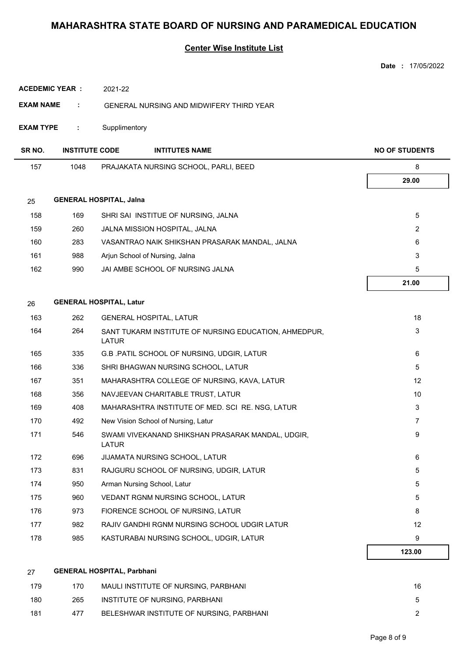|                  |                                   |               |                                                       | Date: 17/05/2022      |
|------------------|-----------------------------------|---------------|-------------------------------------------------------|-----------------------|
|                  | <b>ACEDEMIC YEAR :</b>            | 2021-22       |                                                       |                       |
| <b>EXAM NAME</b> | ÷                                 |               | <b>GENERAL NURSING AND MIDWIFERY THIRD YEAR</b>       |                       |
| <b>EXAM TYPE</b> | ÷                                 | Supplimentory |                                                       |                       |
| SR NO.           | <b>INSTITUTE CODE</b>             |               | <b>INTITUTES NAME</b>                                 | <b>NO OF STUDENTS</b> |
| 157              | 1048                              |               | PRAJAKATA NURSING SCHOOL, PARLI, BEED                 | 8                     |
|                  |                                   |               |                                                       | 29.00                 |
| 25               | <b>GENERAL HOSPITAL, Jalna</b>    |               |                                                       |                       |
| 158              | 169                               |               | SHRI SAI INSTITUE OF NURSING, JALNA                   | 5                     |
| 159              | 260                               |               | JALNA MISSION HOSPITAL, JALNA                         | 2                     |
| 160              | 283                               |               | VASANTRAO NAIK SHIKSHAN PRASARAK MANDAL, JALNA        | 6                     |
| 161              | 988                               |               | Arjun School of Nursing, Jalna                        | 3                     |
| 162              | 990                               |               | JAI AMBE SCHOOL OF NURSING JALNA                      | 5                     |
|                  |                                   |               |                                                       | 21.00                 |
|                  | <b>GENERAL HOSPITAL, Latur</b>    |               |                                                       |                       |
| 26               |                                   |               |                                                       |                       |
| 163<br>164       | 262<br>264                        |               | <b>GENERAL HOSPITAL, LATUR</b>                        | 18                    |
|                  |                                   | <b>LATUR</b>  | SANT TUKARM INSTITUTE OF NURSING EDUCATION, AHMEDPUR, | 3                     |
| 165              | 335                               |               | G.B. PATIL SCHOOL OF NURSING, UDGIR, LATUR            | 6                     |
| 166              | 336                               |               | SHRI BHAGWAN NURSING SCHOOL, LATUR                    | 5                     |
| 167              | 351                               |               | MAHARASHTRA COLLEGE OF NURSING, KAVA, LATUR           | 12                    |
| 168              | 356                               |               | NAVJEEVAN CHARITABLE TRUST, LATUR                     | 10                    |
| 169              | 408                               |               | MAHARASHTRA INSTITUTE OF MED. SCI RE. NSG, LATUR      | 3                     |
| 170              | 492                               |               | New Vision School of Nursing, Latur                   | 7                     |
| 171              | 546                               | <b>LATUR</b>  | SWAMI VIVEKANAND SHIKSHAN PRASARAK MANDAL, UDGIR,     | 9                     |
| 172              | 696                               |               | JIJAMATA NURSING SCHOOL, LATUR                        | 6                     |
| 173              | 831                               |               | RAJGURU SCHOOL OF NURSING, UDGIR, LATUR               | 5                     |
| 174              | 950                               |               | Arman Nursing School, Latur                           | 5                     |
| 175              | 960                               |               | VEDANT RGNM NURSING SCHOOL, LATUR                     | 5                     |
| 176              | 973                               |               | FIORENCE SCHOOL OF NURSING, LATUR                     | 8                     |
| 177              | 982                               |               | RAJIV GANDHI RGNM NURSING SCHOOL UDGIR LATUR          | 12                    |
| 178              | 985                               |               | KASTURABAI NURSING SCHOOL, UDGIR, LATUR               | 9                     |
|                  |                                   |               |                                                       | 123.00                |
| 27               | <b>GENERAL HOSPITAL, Parbhani</b> |               |                                                       |                       |
| 179              | 170                               |               | MAULI INSTITUTE OF NURSING, PARBHANI                  | 16                    |
| 180              | 265                               |               | INSTITUTE OF NURSING, PARBHANI                        | 5                     |
| 181              | 477                               |               | BELESHWAR INSTITUTE OF NURSING, PARBHANI              | 2                     |